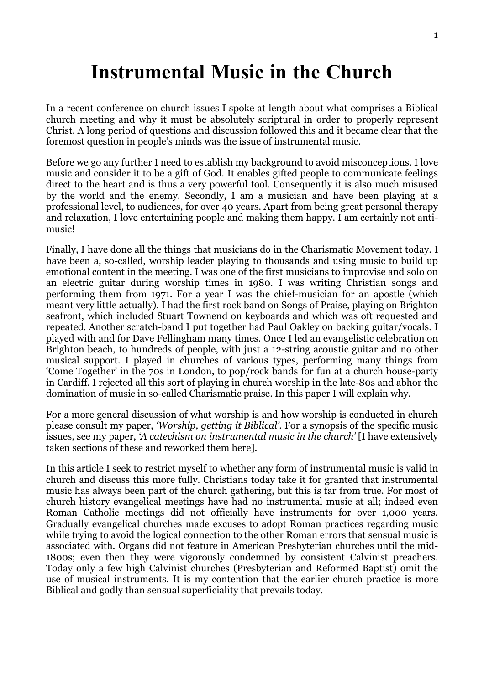# Instrumental Music in the Church

In a recent conference on church issues I spoke at length about what comprises a Biblical church meeting and why it must be absolutely scriptural in order to properly represent Christ. A long period of questions and discussion followed this and it became clear that the foremost question in people's minds was the issue of instrumental music.

Before we go any further I need to establish my background to avoid misconceptions. I love music and consider it to be a gift of God. It enables gifted people to communicate feelings direct to the heart and is thus a very powerful tool. Consequently it is also much misused by the world and the enemy. Secondly, I am a musician and have been playing at a professional level, to audiences, for over 40 years. Apart from being great personal therapy and relaxation, I love entertaining people and making them happy. I am certainly not antimusic!

Finally, I have done all the things that musicians do in the Charismatic Movement today. I have been a, so-called, worship leader playing to thousands and using music to build up emotional content in the meeting. I was one of the first musicians to improvise and solo on an electric guitar during worship times in 1980. I was writing Christian songs and performing them from 1971. For a year I was the chief-musician for an apostle (which meant very little actually). I had the first rock band on Songs of Praise, playing on Brighton seafront, which included Stuart Townend on keyboards and which was oft requested and repeated. Another scratch-band I put together had Paul Oakley on backing guitar/vocals. I played with and for Dave Fellingham many times. Once I led an evangelistic celebration on Brighton beach, to hundreds of people, with just a 12-string acoustic guitar and no other musical support. I played in churches of various types, performing many things from 'Come Together' in the 70s in London, to pop/rock bands for fun at a church house-party in Cardiff. I rejected all this sort of playing in church worship in the late-80s and abhor the domination of music in so-called Charismatic praise. In this paper I will explain why.

For a more general discussion of what worship is and how worship is conducted in church please consult my paper, 'Worship, getting it Biblical'. For a synopsis of the specific music issues, see my paper, 'A catechism on instrumental music in the church' [I have extensively taken sections of these and reworked them here].

In this article I seek to restrict myself to whether any form of instrumental music is valid in church and discuss this more fully. Christians today take it for granted that instrumental music has always been part of the church gathering, but this is far from true. For most of church history evangelical meetings have had no instrumental music at all; indeed even Roman Catholic meetings did not officially have instruments for over 1,000 years. Gradually evangelical churches made excuses to adopt Roman practices regarding music while trying to avoid the logical connection to the other Roman errors that sensual music is associated with. Organs did not feature in American Presbyterian churches until the mid-1800s; even then they were vigorously condemned by consistent Calvinist preachers. Today only a few high Calvinist churches (Presbyterian and Reformed Baptist) omit the use of musical instruments. It is my contention that the earlier church practice is more Biblical and godly than sensual superficiality that prevails today.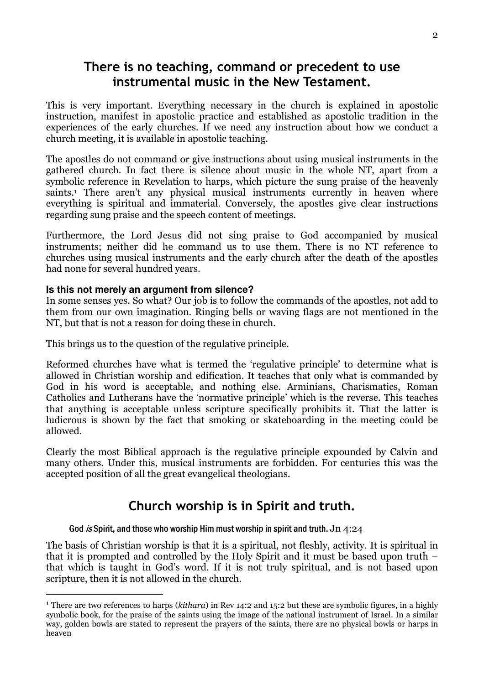# There is no teaching, command or precedent to use instrumental music in the New Testament.

This is very important. Everything necessary in the church is explained in apostolic instruction, manifest in apostolic practice and established as apostolic tradition in the experiences of the early churches. If we need any instruction about how we conduct a church meeting, it is available in apostolic teaching.

The apostles do not command or give instructions about using musical instruments in the gathered church. In fact there is silence about music in the whole NT, apart from a symbolic reference in Revelation to harps, which picture the sung praise of the heavenly saints.<sup>1</sup> There aren't any physical musical instruments currently in heaven where everything is spiritual and immaterial. Conversely, the apostles give clear instructions regarding sung praise and the speech content of meetings.

Furthermore, the Lord Jesus did not sing praise to God accompanied by musical instruments; neither did he command us to use them. There is no NT reference to churches using musical instruments and the early church after the death of the apostles had none for several hundred years.

### **Is this not merely an argument from silence?**

I

In some senses yes. So what? Our job is to follow the commands of the apostles, not add to them from our own imagination. Ringing bells or waving flags are not mentioned in the NT, but that is not a reason for doing these in church.

This brings us to the question of the regulative principle.

Reformed churches have what is termed the 'regulative principle' to determine what is allowed in Christian worship and edification. It teaches that only what is commanded by God in his word is acceptable, and nothing else. Arminians, Charismatics, Roman Catholics and Lutherans have the 'normative principle' which is the reverse. This teaches that anything is acceptable unless scripture specifically prohibits it. That the latter is ludicrous is shown by the fact that smoking or skateboarding in the meeting could be allowed.

Clearly the most Biblical approach is the regulative principle expounded by Calvin and many others. Under this, musical instruments are forbidden. For centuries this was the accepted position of all the great evangelical theologians.

# Church worship is in Spirit and truth.

### God is Spirit, and those who worship Him must worship in spirit and truth. Jn 4:24

The basis of Christian worship is that it is a spiritual, not fleshly, activity. It is spiritual in that it is prompted and controlled by the Holy Spirit and it must be based upon truth – that which is taught in God's word. If it is not truly spiritual, and is not based upon scripture, then it is not allowed in the church.

<sup>&</sup>lt;sup>1</sup> There are two references to harps (kithara) in Rev 14:2 and 15:2 but these are symbolic figures, in a highly symbolic book, for the praise of the saints using the image of the national instrument of Israel. In a similar way, golden bowls are stated to represent the prayers of the saints, there are no physical bowls or harps in heaven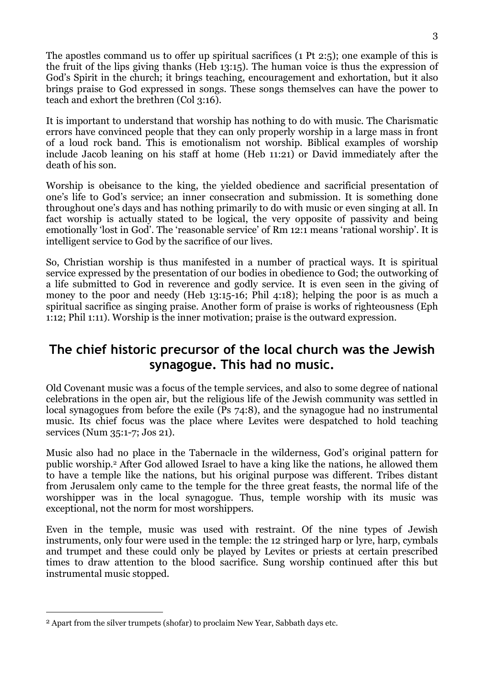The apostles command us to offer up spiritual sacrifices (1 Pt 2:5); one example of this is the fruit of the lips giving thanks (Heb 13:15). The human voice is thus the expression of God's Spirit in the church; it brings teaching, encouragement and exhortation, but it also brings praise to God expressed in songs. These songs themselves can have the power to teach and exhort the brethren (Col 3:16).

It is important to understand that worship has nothing to do with music. The Charismatic errors have convinced people that they can only properly worship in a large mass in front of a loud rock band. This is emotionalism not worship. Biblical examples of worship include Jacob leaning on his staff at home (Heb 11:21) or David immediately after the death of his son.

Worship is obeisance to the king, the yielded obedience and sacrificial presentation of one's life to God's service; an inner consecration and submission. It is something done throughout one's days and has nothing primarily to do with music or even singing at all. In fact worship is actually stated to be logical, the very opposite of passivity and being emotionally 'lost in God'. The 'reasonable service' of Rm 12:1 means 'rational worship'. It is intelligent service to God by the sacrifice of our lives.

So, Christian worship is thus manifested in a number of practical ways. It is spiritual service expressed by the presentation of our bodies in obedience to God; the outworking of a life submitted to God in reverence and godly service. It is even seen in the giving of money to the poor and needy (Heb 13:15-16; Phil 4:18); helping the poor is as much a spiritual sacrifice as singing praise. Another form of praise is works of righteousness (Eph 1:12; Phil 1:11). Worship is the inner motivation; praise is the outward expression.

# The chief historic precursor of the local church was the Jewish synagogue. This had no music.

Old Covenant music was a focus of the temple services, and also to some degree of national celebrations in the open air, but the religious life of the Jewish community was settled in local synagogues from before the exile (Ps 74:8), and the synagogue had no instrumental music. Its chief focus was the place where Levites were despatched to hold teaching services (Num 35:1-7; Jos 21).

Music also had no place in the Tabernacle in the wilderness, God's original pattern for public worship.2 After God allowed Israel to have a king like the nations, he allowed them to have a temple like the nations, but his original purpose was different. Tribes distant from Jerusalem only came to the temple for the three great feasts, the normal life of the worshipper was in the local synagogue. Thus, temple worship with its music was exceptional, not the norm for most worshippers.

Even in the temple, music was used with restraint. Of the nine types of Jewish instruments, only four were used in the temple: the 12 stringed harp or lyre, harp, cymbals and trumpet and these could only be played by Levites or priests at certain prescribed times to draw attention to the blood sacrifice. Sung worship continued after this but instrumental music stopped.

 $\overline{a}$ 

<sup>2</sup> Apart from the silver trumpets (shofar) to proclaim New Year, Sabbath days etc.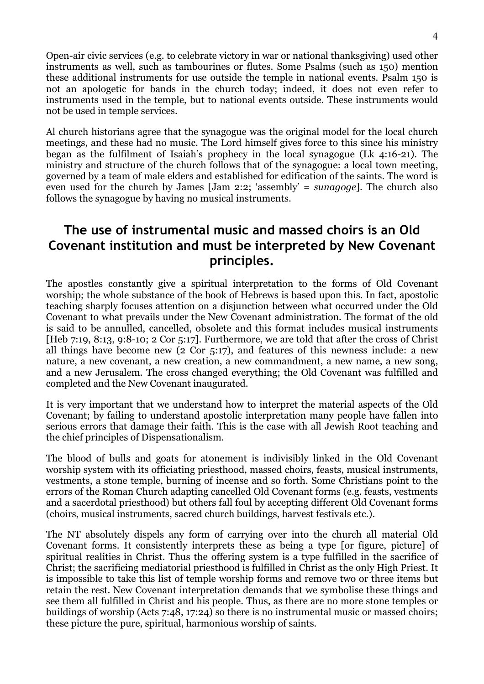Open-air civic services (e.g. to celebrate victory in war or national thanksgiving) used other instruments as well, such as tambourines or flutes. Some Psalms (such as 150) mention these additional instruments for use outside the temple in national events. Psalm 150 is not an apologetic for bands in the church today; indeed, it does not even refer to instruments used in the temple, but to national events outside. These instruments would not be used in temple services.

Al church historians agree that the synagogue was the original model for the local church meetings, and these had no music. The Lord himself gives force to this since his ministry began as the fulfilment of Isaiah's prophecy in the local synagogue (Lk 4:16-21). The ministry and structure of the church follows that of the synagogue: a local town meeting, governed by a team of male elders and established for edification of the saints. The word is even used for the church by James [Jam 2:2; 'assembly' = sunagoge]. The church also follows the synagogue by having no musical instruments.

# The use of instrumental music and massed choirs is an Old Covenant institution and must be interpreted by New Covenant principles.

The apostles constantly give a spiritual interpretation to the forms of Old Covenant worship; the whole substance of the book of Hebrews is based upon this. In fact, apostolic teaching sharply focuses attention on a disjunction between what occurred under the Old Covenant to what prevails under the New Covenant administration. The format of the old is said to be annulled, cancelled, obsolete and this format includes musical instruments [Heb 7:19, 8:13, 9:8-10; 2 Cor 5:17]. Furthermore, we are told that after the cross of Christ all things have become new (2 Cor 5:17), and features of this newness include: a new nature, a new covenant, a new creation, a new commandment, a new name, a new song, and a new Jerusalem. The cross changed everything; the Old Covenant was fulfilled and completed and the New Covenant inaugurated.

It is very important that we understand how to interpret the material aspects of the Old Covenant; by failing to understand apostolic interpretation many people have fallen into serious errors that damage their faith. This is the case with all Jewish Root teaching and the chief principles of Dispensationalism.

The blood of bulls and goats for atonement is indivisibly linked in the Old Covenant worship system with its officiating priesthood, massed choirs, feasts, musical instruments, vestments, a stone temple, burning of incense and so forth. Some Christians point to the errors of the Roman Church adapting cancelled Old Covenant forms (e.g. feasts, vestments and a sacerdotal priesthood) but others fall foul by accepting different Old Covenant forms (choirs, musical instruments, sacred church buildings, harvest festivals etc.).

The NT absolutely dispels any form of carrying over into the church all material Old Covenant forms. It consistently interprets these as being a type [or figure, picture] of spiritual realities in Christ. Thus the offering system is a type fulfilled in the sacrifice of Christ; the sacrificing mediatorial priesthood is fulfilled in Christ as the only High Priest. It is impossible to take this list of temple worship forms and remove two or three items but retain the rest. New Covenant interpretation demands that we symbolise these things and see them all fulfilled in Christ and his people. Thus, as there are no more stone temples or buildings of worship (Acts 7:48, 17:24) so there is no instrumental music or massed choirs; these picture the pure, spiritual, harmonious worship of saints.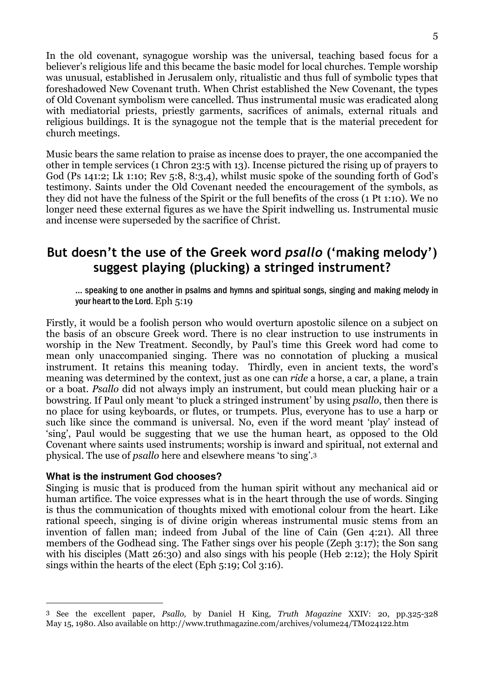In the old covenant, synagogue worship was the universal, teaching based focus for a believer's religious life and this became the basic model for local churches. Temple worship was unusual, established in Jerusalem only, ritualistic and thus full of symbolic types that foreshadowed New Covenant truth. When Christ established the New Covenant, the types of Old Covenant symbolism were cancelled. Thus instrumental music was eradicated along with mediatorial priests, priestly garments, sacrifices of animals, external rituals and religious buildings. It is the synagogue not the temple that is the material precedent for church meetings.

Music bears the same relation to praise as incense does to prayer, the one accompanied the other in temple services (1 Chron 23:5 with 13). Incense pictured the rising up of prayers to God (Ps 141:2; Lk 1:10; Rev 5:8, 8:3,4), whilst music spoke of the sounding forth of God's testimony. Saints under the Old Covenant needed the encouragement of the symbols, as they did not have the fulness of the Spirit or the full benefits of the cross (1 Pt 1:10). We no longer need these external figures as we have the Spirit indwelling us. Instrumental music and incense were superseded by the sacrifice of Christ.

# But doesn't the use of the Greek word psallo ('making melody') suggest playing (plucking) a stringed instrument?

… speaking to one another in psalms and hymns and spiritual songs, singing and making melody in your heart to the Lord. Eph 5:19

Firstly, it would be a foolish person who would overturn apostolic silence on a subject on the basis of an obscure Greek word. There is no clear instruction to use instruments in worship in the New Treatment. Secondly, by Paul's time this Greek word had come to mean only unaccompanied singing. There was no connotation of plucking a musical instrument. It retains this meaning today. Thirdly, even in ancient texts, the word's meaning was determined by the context, just as one can *ride* a horse, a car, a plane, a train or a boat. Psallo did not always imply an instrument, but could mean plucking hair or a bowstring. If Paul only meant 'to pluck a stringed instrument' by using psallo, then there is no place for using keyboards, or flutes, or trumpets. Plus, everyone has to use a harp or such like since the command is universal. No, even if the word meant 'play' instead of 'sing', Paul would be suggesting that we use the human heart, as opposed to the Old Covenant where saints used instruments; worship is inward and spiritual, not external and physical. The use of psallo here and elsewhere means 'to sing'.<sup>3</sup>

### **What is the instrument God chooses?**

 $\overline{a}$ 

Singing is music that is produced from the human spirit without any mechanical aid or human artifice. The voice expresses what is in the heart through the use of words. Singing is thus the communication of thoughts mixed with emotional colour from the heart. Like rational speech, singing is of divine origin whereas instrumental music stems from an invention of fallen man; indeed from Jubal of the line of Cain (Gen 4:21). All three members of the Godhead sing. The Father sings over his people (Zeph 3:17); the Son sang with his disciples (Matt 26:30) and also sings with his people (Heb 2:12); the Holy Spirit sings within the hearts of the elect (Eph 5:19; Col 3:16).

<sup>3</sup> See the excellent paper, Psallo, by Daniel H King, Truth Magazine XXIV: 20, pp.325-328 May 15, 1980. Also available on http://www.truthmagazine.com/archives/volume24/TM024122.htm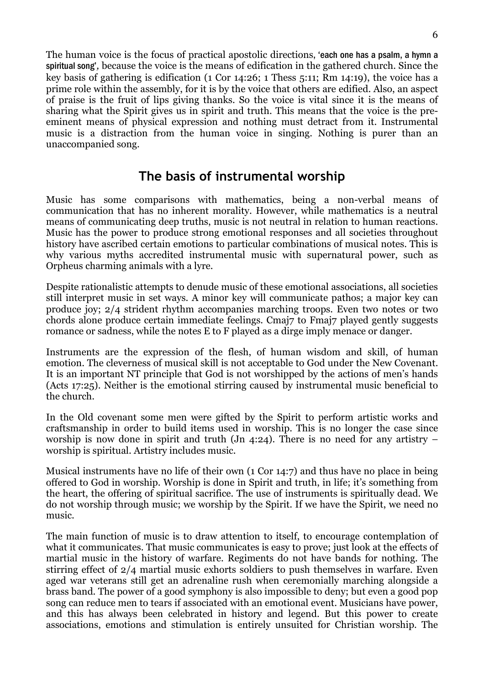The human voice is the focus of practical apostolic directions, 'each one has a psalm, a hymn a spiritual song', because the voice is the means of edification in the gathered church. Since the key basis of gathering is edification (1 Cor 14:26; 1 Thess 5:11; Rm 14:19), the voice has a prime role within the assembly, for it is by the voice that others are edified. Also, an aspect of praise is the fruit of lips giving thanks. So the voice is vital since it is the means of sharing what the Spirit gives us in spirit and truth. This means that the voice is the preeminent means of physical expression and nothing must detract from it. Instrumental music is a distraction from the human voice in singing. Nothing is purer than an unaccompanied song.

### The basis of instrumental worship

Music has some comparisons with mathematics, being a non-verbal means of communication that has no inherent morality. However, while mathematics is a neutral means of communicating deep truths, music is not neutral in relation to human reactions. Music has the power to produce strong emotional responses and all societies throughout history have ascribed certain emotions to particular combinations of musical notes. This is why various myths accredited instrumental music with supernatural power, such as Orpheus charming animals with a lyre.

Despite rationalistic attempts to denude music of these emotional associations, all societies still interpret music in set ways. A minor key will communicate pathos; a major key can produce joy; 2/4 strident rhythm accompanies marching troops. Even two notes or two chords alone produce certain immediate feelings. Cmaj7 to Fmaj7 played gently suggests romance or sadness, while the notes E to F played as a dirge imply menace or danger.

Instruments are the expression of the flesh, of human wisdom and skill, of human emotion. The cleverness of musical skill is not acceptable to God under the New Covenant. It is an important NT principle that God is not worshipped by the actions of men's hands (Acts 17:25). Neither is the emotional stirring caused by instrumental music beneficial to the church.

In the Old covenant some men were gifted by the Spirit to perform artistic works and craftsmanship in order to build items used in worship. This is no longer the case since worship is now done in spirit and truth (Jn 4:24). There is no need for any artistry – worship is spiritual. Artistry includes music.

Musical instruments have no life of their own (1 Cor 14:7) and thus have no place in being offered to God in worship. Worship is done in Spirit and truth, in life; it's something from the heart, the offering of spiritual sacrifice. The use of instruments is spiritually dead. We do not worship through music; we worship by the Spirit. If we have the Spirit, we need no music.

The main function of music is to draw attention to itself, to encourage contemplation of what it communicates. That music communicates is easy to prove; just look at the effects of martial music in the history of warfare. Regiments do not have bands for nothing. The stirring effect of 2/4 martial music exhorts soldiers to push themselves in warfare. Even aged war veterans still get an adrenaline rush when ceremonially marching alongside a brass band. The power of a good symphony is also impossible to deny; but even a good pop song can reduce men to tears if associated with an emotional event. Musicians have power, and this has always been celebrated in history and legend. But this power to create associations, emotions and stimulation is entirely unsuited for Christian worship. The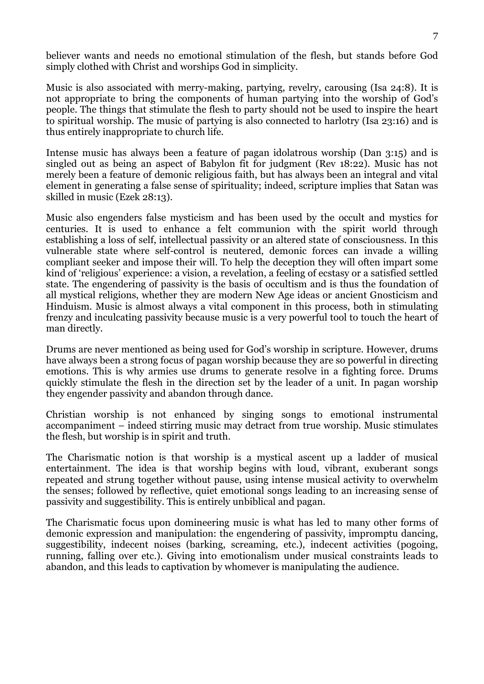believer wants and needs no emotional stimulation of the flesh, but stands before God simply clothed with Christ and worships God in simplicity.

Music is also associated with merry-making, partying, revelry, carousing (Isa 24:8). It is not appropriate to bring the components of human partying into the worship of God's people. The things that stimulate the flesh to party should not be used to inspire the heart to spiritual worship. The music of partying is also connected to harlotry (Isa 23:16) and is thus entirely inappropriate to church life.

Intense music has always been a feature of pagan idolatrous worship (Dan 3:15) and is singled out as being an aspect of Babylon fit for judgment (Rev 18:22). Music has not merely been a feature of demonic religious faith, but has always been an integral and vital element in generating a false sense of spirituality; indeed, scripture implies that Satan was skilled in music (Ezek 28:13).

Music also engenders false mysticism and has been used by the occult and mystics for centuries. It is used to enhance a felt communion with the spirit world through establishing a loss of self, intellectual passivity or an altered state of consciousness. In this vulnerable state where self-control is neutered, demonic forces can invade a willing compliant seeker and impose their will. To help the deception they will often impart some kind of 'religious' experience: a vision, a revelation, a feeling of ecstasy or a satisfied settled state. The engendering of passivity is the basis of occultism and is thus the foundation of all mystical religions, whether they are modern New Age ideas or ancient Gnosticism and Hinduism. Music is almost always a vital component in this process, both in stimulating frenzy and inculcating passivity because music is a very powerful tool to touch the heart of man directly.

Drums are never mentioned as being used for God's worship in scripture. However, drums have always been a strong focus of pagan worship because they are so powerful in directing emotions. This is why armies use drums to generate resolve in a fighting force. Drums quickly stimulate the flesh in the direction set by the leader of a unit. In pagan worship they engender passivity and abandon through dance.

Christian worship is not enhanced by singing songs to emotional instrumental accompaniment – indeed stirring music may detract from true worship. Music stimulates the flesh, but worship is in spirit and truth.

The Charismatic notion is that worship is a mystical ascent up a ladder of musical entertainment. The idea is that worship begins with loud, vibrant, exuberant songs repeated and strung together without pause, using intense musical activity to overwhelm the senses; followed by reflective, quiet emotional songs leading to an increasing sense of passivity and suggestibility. This is entirely unbiblical and pagan.

The Charismatic focus upon domineering music is what has led to many other forms of demonic expression and manipulation: the engendering of passivity, impromptu dancing, suggestibility, indecent noises (barking, screaming, etc.), indecent activities (pogoing, running, falling over etc.). Giving into emotionalism under musical constraints leads to abandon, and this leads to captivation by whomever is manipulating the audience.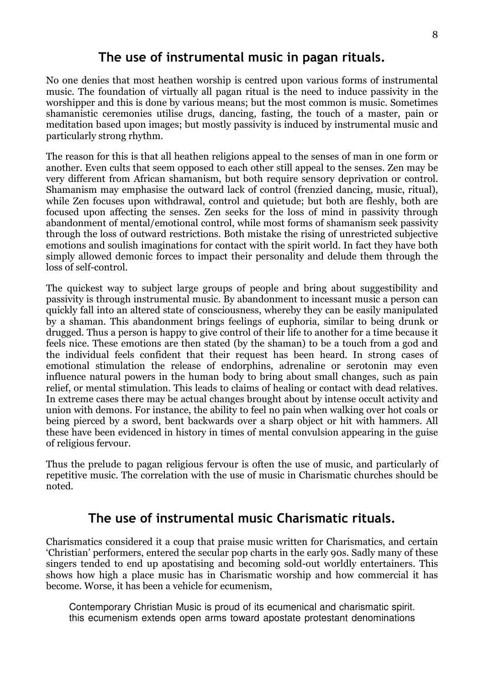### The use of instrumental music in pagan rituals.

No one denies that most heathen worship is centred upon various forms of instrumental music. The foundation of virtually all pagan ritual is the need to induce passivity in the worshipper and this is done by various means; but the most common is music. Sometimes shamanistic ceremonies utilise drugs, dancing, fasting, the touch of a master, pain or meditation based upon images; but mostly passivity is induced by instrumental music and particularly strong rhythm.

The reason for this is that all heathen religions appeal to the senses of man in one form or another. Even cults that seem opposed to each other still appeal to the senses. Zen may be very different from African shamanism, but both require sensory deprivation or control. Shamanism may emphasise the outward lack of control (frenzied dancing, music, ritual), while Zen focuses upon withdrawal, control and quietude; but both are fleshly, both are focused upon affecting the senses. Zen seeks for the loss of mind in passivity through abandonment of mental/emotional control, while most forms of shamanism seek passivity through the loss of outward restrictions. Both mistake the rising of unrestricted subjective emotions and soulish imaginations for contact with the spirit world. In fact they have both simply allowed demonic forces to impact their personality and delude them through the loss of self-control.

The quickest way to subject large groups of people and bring about suggestibility and passivity is through instrumental music. By abandonment to incessant music a person can quickly fall into an altered state of consciousness, whereby they can be easily manipulated by a shaman. This abandonment brings feelings of euphoria, similar to being drunk or drugged. Thus a person is happy to give control of their life to another for a time because it feels nice. These emotions are then stated (by the shaman) to be a touch from a god and the individual feels confident that their request has been heard. In strong cases of emotional stimulation the release of endorphins, adrenaline or serotonin may even influence natural powers in the human body to bring about small changes, such as pain relief, or mental stimulation. This leads to claims of healing or contact with dead relatives. In extreme cases there may be actual changes brought about by intense occult activity and union with demons. For instance, the ability to feel no pain when walking over hot coals or being pierced by a sword, bent backwards over a sharp object or hit with hammers. All these have been evidenced in history in times of mental convulsion appearing in the guise of religious fervour.

Thus the prelude to pagan religious fervour is often the use of music, and particularly of repetitive music. The correlation with the use of music in Charismatic churches should be noted.

### The use of instrumental music Charismatic rituals.

Charismatics considered it a coup that praise music written for Charismatics, and certain 'Christian' performers, entered the secular pop charts in the early 90s. Sadly many of these singers tended to end up apostatising and becoming sold-out worldly entertainers. This shows how high a place music has in Charismatic worship and how commercial it has become. Worse, it has been a vehicle for ecumenism,

Contemporary Christian Music is proud of its ecumenical and charismatic spirit. this ecumenism extends open arms toward apostate protestant denominations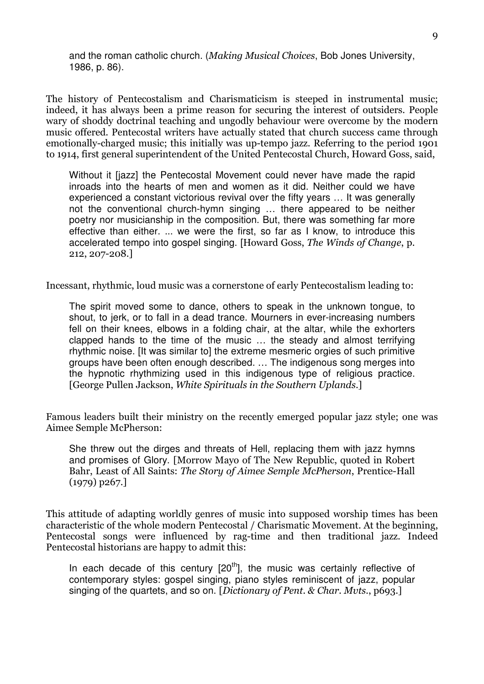and the roman catholic church. (Making Musical Choices, Bob Jones University, 1986, p. 86).

The history of Pentecostalism and Charismaticism is steeped in instrumental music; indeed, it has always been a prime reason for securing the interest of outsiders. People wary of shoddy doctrinal teaching and ungodly behaviour were overcome by the modern music offered. Pentecostal writers have actually stated that church success came through emotionally-charged music; this initially was up-tempo jazz. Referring to the period 1901 to 1914, first general superintendent of the United Pentecostal Church, Howard Goss, said,

Without it [jazz] the Pentecostal Movement could never have made the rapid inroads into the hearts of men and women as it did. Neither could we have experienced a constant victorious revival over the fifty years … It was generally not the conventional church-hymn singing … there appeared to be neither poetry nor musicianship in the composition. But, there was something far more effective than either. ... we were the first, so far as I know, to introduce this accelerated tempo into gospel singing. [Howard Goss, The Winds of Change, p. 212, 207-208.]

Incessant, rhythmic, loud music was a cornerstone of early Pentecostalism leading to:

The spirit moved some to dance, others to speak in the unknown tongue, to shout, to jerk, or to fall in a dead trance. Mourners in ever-increasing numbers fell on their knees, elbows in a folding chair, at the altar, while the exhorters clapped hands to the time of the music … the steady and almost terrifying rhythmic noise. Ilt was similar tol the extreme mesmeric orgies of such primitive groups have been often enough described. … The indigenous song merges into the hypnotic rhythmizing used in this indigenous type of religious practice. [George Pullen Jackson, White Spirituals in the Southern Uplands.]

Famous leaders built their ministry on the recently emerged popular jazz style; one was Aimee Semple McPherson:

She threw out the dirges and threats of Hell, replacing them with jazz hymns and promises of Glory. [Morrow Mayo of The New Republic, quoted in Robert Bahr, Least of All Saints: The Story of Aimee Semple McPherson, Prentice-Hall (1979) p267.]

This attitude of adapting worldly genres of music into supposed worship times has been characteristic of the whole modern Pentecostal / Charismatic Movement. At the beginning, Pentecostal songs were influenced by rag-time and then traditional jazz. Indeed Pentecostal historians are happy to admit this:

In each decade of this century  $[20<sup>th</sup>]$ , the music was certainly reflective of contemporary styles: gospel singing, piano styles reminiscent of jazz, popular singing of the quartets, and so on. [Dictionary of Pent. & Char. Muts.,  $p693$ .]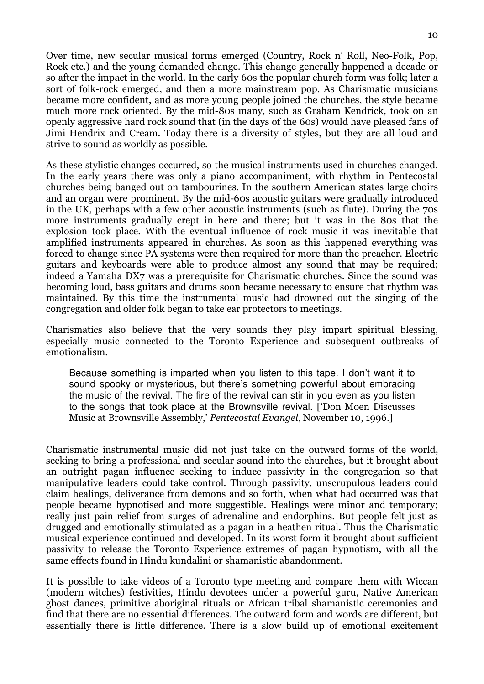Over time, new secular musical forms emerged (Country, Rock n' Roll, Neo-Folk, Pop, Rock etc.) and the young demanded change. This change generally happened a decade or so after the impact in the world. In the early 60s the popular church form was folk; later a sort of folk-rock emerged, and then a more mainstream pop. As Charismatic musicians became more confident, and as more young people joined the churches, the style became much more rock oriented. By the mid-80s many, such as Graham Kendrick, took on an openly aggressive hard rock sound that (in the days of the 60s) would have pleased fans of Jimi Hendrix and Cream. Today there is a diversity of styles, but they are all loud and strive to sound as worldly as possible.

As these stylistic changes occurred, so the musical instruments used in churches changed. In the early years there was only a piano accompaniment, with rhythm in Pentecostal churches being banged out on tambourines. In the southern American states large choirs and an organ were prominent. By the mid-60s acoustic guitars were gradually introduced in the UK, perhaps with a few other acoustic instruments (such as flute). During the 70s more instruments gradually crept in here and there; but it was in the 80s that the explosion took place. With the eventual influence of rock music it was inevitable that amplified instruments appeared in churches. As soon as this happened everything was forced to change since PA systems were then required for more than the preacher. Electric guitars and keyboards were able to produce almost any sound that may be required; indeed a Yamaha DX7 was a prerequisite for Charismatic churches. Since the sound was becoming loud, bass guitars and drums soon became necessary to ensure that rhythm was maintained. By this time the instrumental music had drowned out the singing of the congregation and older folk began to take ear protectors to meetings.

Charismatics also believe that the very sounds they play impart spiritual blessing, especially music connected to the Toronto Experience and subsequent outbreaks of emotionalism.

Because something is imparted when you listen to this tape. I don't want it to sound spooky or mysterious, but there's something powerful about embracing the music of the revival. The fire of the revival can stir in you even as you listen to the songs that took place at the Brownsville revival. ['Don Moen Discusses Music at Brownsville Assembly,' Pentecostal Evangel, November 10, 1996.]

Charismatic instrumental music did not just take on the outward forms of the world, seeking to bring a professional and secular sound into the churches, but it brought about an outright pagan influence seeking to induce passivity in the congregation so that manipulative leaders could take control. Through passivity, unscrupulous leaders could claim healings, deliverance from demons and so forth, when what had occurred was that people became hypnotised and more suggestible. Healings were minor and temporary; really just pain relief from surges of adrenaline and endorphins. But people felt just as drugged and emotionally stimulated as a pagan in a heathen ritual. Thus the Charismatic musical experience continued and developed. In its worst form it brought about sufficient passivity to release the Toronto Experience extremes of pagan hypnotism, with all the same effects found in Hindu kundalini or shamanistic abandonment.

It is possible to take videos of a Toronto type meeting and compare them with Wiccan (modern witches) festivities, Hindu devotees under a powerful guru, Native American ghost dances, primitive aboriginal rituals or African tribal shamanistic ceremonies and find that there are no essential differences. The outward form and words are different, but essentially there is little difference. There is a slow build up of emotional excitement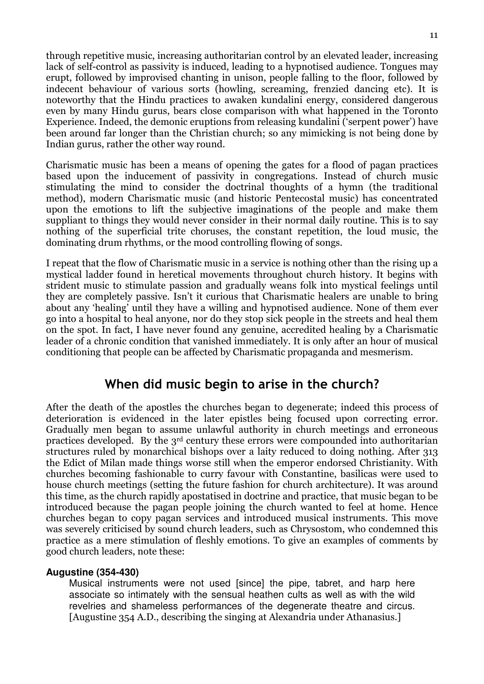through repetitive music, increasing authoritarian control by an elevated leader, increasing lack of self-control as passivity is induced, leading to a hypnotised audience. Tongues may erupt, followed by improvised chanting in unison, people falling to the floor, followed by indecent behaviour of various sorts (howling, screaming, frenzied dancing etc). It is noteworthy that the Hindu practices to awaken kundalini energy, considered dangerous even by many Hindu gurus, bears close comparison with what happened in the Toronto Experience. Indeed, the demonic eruptions from releasing kundalini ('serpent power') have been around far longer than the Christian church; so any mimicking is not being done by Indian gurus, rather the other way round.

Charismatic music has been a means of opening the gates for a flood of pagan practices based upon the inducement of passivity in congregations. Instead of church music stimulating the mind to consider the doctrinal thoughts of a hymn (the traditional method), modern Charismatic music (and historic Pentecostal music) has concentrated upon the emotions to lift the subjective imaginations of the people and make them suppliant to things they would never consider in their normal daily routine. This is to say nothing of the superficial trite choruses, the constant repetition, the loud music, the dominating drum rhythms, or the mood controlling flowing of songs.

I repeat that the flow of Charismatic music in a service is nothing other than the rising up a mystical ladder found in heretical movements throughout church history. It begins with strident music to stimulate passion and gradually weans folk into mystical feelings until they are completely passive. Isn't it curious that Charismatic healers are unable to bring about any 'healing' until they have a willing and hypnotised audience. None of them ever go into a hospital to heal anyone, nor do they stop sick people in the streets and heal them on the spot. In fact, I have never found any genuine, accredited healing by a Charismatic leader of a chronic condition that vanished immediately. It is only after an hour of musical conditioning that people can be affected by Charismatic propaganda and mesmerism.

### When did music begin to arise in the church?

After the death of the apostles the churches began to degenerate; indeed this process of deterioration is evidenced in the later epistles being focused upon correcting error. Gradually men began to assume unlawful authority in church meetings and erroneous practices developed. By the 3rd century these errors were compounded into authoritarian structures ruled by monarchical bishops over a laity reduced to doing nothing. After 313 the Edict of Milan made things worse still when the emperor endorsed Christianity. With churches becoming fashionable to curry favour with Constantine, basilicas were used to house church meetings (setting the future fashion for church architecture). It was around this time, as the church rapidly apostatised in doctrine and practice, that music began to be introduced because the pagan people joining the church wanted to feel at home. Hence churches began to copy pagan services and introduced musical instruments. This move was severely criticised by sound church leaders, such as Chrysostom, who condemned this practice as a mere stimulation of fleshly emotions. To give an examples of comments by good church leaders, note these:

### **Augustine (354-430)**

Musical instruments were not used [since] the pipe, tabret, and harp here associate so intimately with the sensual heathen cults as well as with the wild revelries and shameless performances of the degenerate theatre and circus. [Augustine 354 A.D., describing the singing at Alexandria under Athanasius.]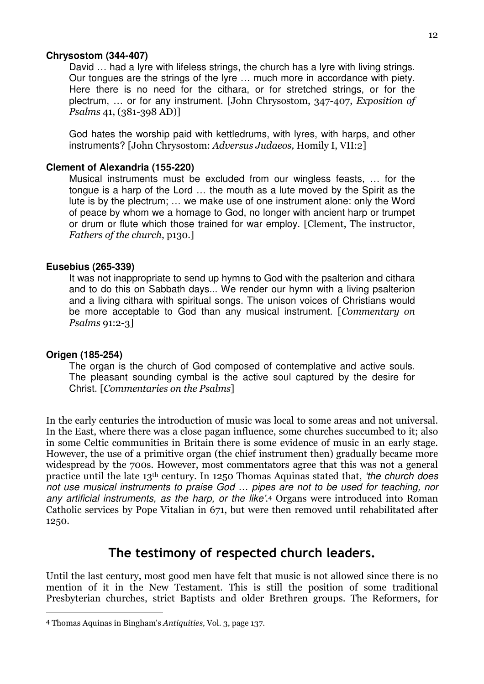#### **Chrysostom (344-407)**

David … had a lyre with lifeless strings, the church has a lyre with living strings. Our tongues are the strings of the lyre … much more in accordance with piety. Here there is no need for the cithara, or for stretched strings, or for the plectrum, … or for any instrument. [John Chrysostom, 347-407, Exposition of Psalms 41, (381-398 AD)]

God hates the worship paid with kettledrums, with lyres, with harps, and other instruments? [John Chrysostom: Adversus Judaeos, Homily I, VII:2]

### **Clement of Alexandria (155-220)**

Musical instruments must be excluded from our wingless feasts, … for the tongue is a harp of the Lord … the mouth as a lute moved by the Spirit as the lute is by the plectrum; … we make use of one instrument alone: only the Word of peace by whom we a homage to God, no longer with ancient harp or trumpet or drum or flute which those trained for war employ. [Clement, The instructor, Fathers of the church, p130.]

### **Eusebius (265-339)**

It was not inappropriate to send up hymns to God with the psalterion and cithara and to do this on Sabbath days... We render our hymn with a living psalterion and a living cithara with spiritual songs. The unison voices of Christians would be more acceptable to God than any musical instrument. [Commentary on Psalms 91:2-3]

### **Origen (185-254)**

 $\overline{a}$ 

The organ is the church of God composed of contemplative and active souls. The pleasant sounding cymbal is the active soul captured by the desire for Christ. [Commentaries on the Psalms]

In the early centuries the introduction of music was local to some areas and not universal. In the East, where there was a close pagan influence, some churches succumbed to it; also in some Celtic communities in Britain there is some evidence of music in an early stage. However, the use of a primitive organ (the chief instrument then) gradually became more widespread by the 700s. However, most commentators agree that this was not a general practice until the late 13th century. In 1250 Thomas Aquinas stated that, 'the church does not use musical instruments to praise God … pipes are not to be used for teaching, nor any artificial instruments, as the harp, or the like'. <sup>4</sup> Organs were introduced into Roman Catholic services by Pope Vitalian in 671, but were then removed until rehabilitated after 1250.

### The testimony of respected church leaders.

Until the last century, most good men have felt that music is not allowed since there is no mention of it in the New Testament. This is still the position of some traditional Presbyterian churches, strict Baptists and older Brethren groups. The Reformers, for

<sup>4</sup> Thomas Aquinas in Bingham's Antiquities, Vol. 3, page 137.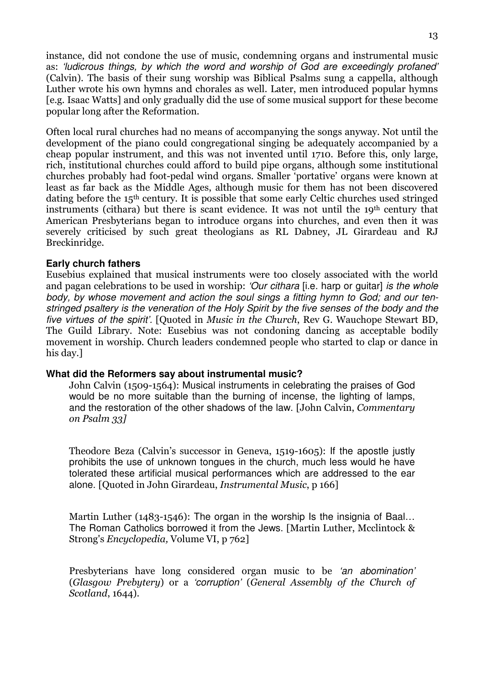instance, did not condone the use of music, condemning organs and instrumental music as: 'ludicrous things, by which the word and worship of God are exceedingly profaned' (Calvin). The basis of their sung worship was Biblical Psalms sung a cappella, although Luther wrote his own hymns and chorales as well. Later, men introduced popular hymns [e.g. Isaac Watts] and only gradually did the use of some musical support for these become popular long after the Reformation.

Often local rural churches had no means of accompanying the songs anyway. Not until the development of the piano could congregational singing be adequately accompanied by a cheap popular instrument, and this was not invented until 1710. Before this, only large, rich, institutional churches could afford to build pipe organs, although some institutional churches probably had foot-pedal wind organs. Smaller 'portative' organs were known at least as far back as the Middle Ages, although music for them has not been discovered dating before the 15th century. It is possible that some early Celtic churches used stringed instruments (cithara) but there is scant evidence. It was not until the 19<sup>th</sup> century that American Presbyterians began to introduce organs into churches, and even then it was severely criticised by such great theologians as RL Dabney, JL Girardeau and RJ Breckinridge.

### **Early church fathers**

Eusebius explained that musical instruments were too closely associated with the world and pagan celebrations to be used in worship: 'Our cithara [i.e. harp or guitar] is the whole body, by whose movement and action the soul sings a fitting hymn to God; and our tenstringed psaltery is the veneration of the Holy Spirit by the five senses of the body and the five virtues of the spirit'. [Quoted in Music in the Church, Rev G. Wauchope Stewart BD, The Guild Library. Note: Eusebius was not condoning dancing as acceptable bodily movement in worship. Church leaders condemned people who started to clap or dance in his day.]

### **What did the Reformers say about instrumental music?**

John Calvin (1509-1564): Musical instruments in celebrating the praises of God would be no more suitable than the burning of incense, the lighting of lamps, and the restoration of the other shadows of the law. [John Calvin, *Commentary* on Psalm 33]

Theodore Beza (Calvin's successor in Geneva, 1519-1605): If the apostle justly prohibits the use of unknown tongues in the church, much less would he have tolerated these artificial musical performances which are addressed to the ear alone. [Quoted in John Girardeau, Instrumental Music, p 166]

Martin Luther (1483-1546): The organ in the worship Is the insignia of Baal... The Roman Catholics borrowed it from the Jews. [Martin Luther, Mcclintock & Strong's Encyclopedia, Volume VI, p 762]

Presbyterians have long considered organ music to be 'an abomination' (Glasgow Prebytery) or a 'corruption' (General Assembly of the Church of Scotland, 1644).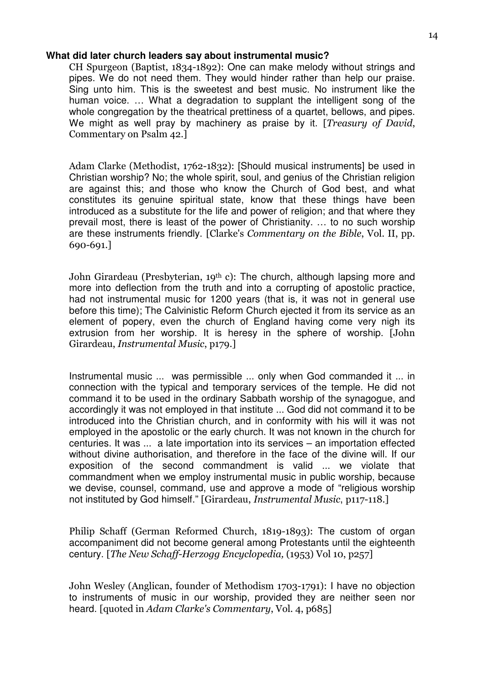### **What did later church leaders say about instrumental music?**

CH Spurgeon (Baptist, 1834-1892): One can make melody without strings and pipes. We do not need them. They would hinder rather than help our praise. Sing unto him. This is the sweetest and best music. No instrument like the human voice. … What a degradation to supplant the intelligent song of the whole congregation by the theatrical prettiness of a quartet, bellows, and pipes. We might as well pray by machinery as praise by it. [Treasury of David, Commentary on Psalm 42.]

Adam Clarke (Methodist, 1762-1832): [Should musical instruments] be used in Christian worship? No; the whole spirit, soul, and genius of the Christian religion are against this; and those who know the Church of God best, and what constitutes its genuine spiritual state, know that these things have been introduced as a substitute for the life and power of religion; and that where they prevail most, there is least of the power of Christianity. … to no such worship are these instruments friendly. [Clarke's Commentary on the Bible, Vol. II, pp. 690-691.]

John Girardeau (Presbyterian, 19th c): The church, although lapsing more and more into deflection from the truth and into a corrupting of apostolic practice, had not instrumental music for 1200 years (that is, it was not in general use before this time); The Calvinistic Reform Church ejected it from its service as an element of popery, even the church of England having come very nigh its extrusion from her worship. It is heresy in the sphere of worship. [John Girardeau, Instrumental Music, p179.]

Instrumental music ... was permissible ... only when God commanded it ... in connection with the typical and temporary services of the temple. He did not command it to be used in the ordinary Sabbath worship of the synagogue, and accordingly it was not employed in that institute ... God did not command it to be introduced into the Christian church, and in conformity with his will it was not employed in the apostolic or the early church. It was not known in the church for centuries. It was ... a late importation into its services – an importation effected without divine authorisation, and therefore in the face of the divine will. If our exposition of the second commandment is valid ... we violate that commandment when we employ instrumental music in public worship, because we devise, counsel, command, use and approve a mode of "religious worship not instituted by God himself." [Girardeau, Instrumental Music, p117-118.]

Philip Schaff (German Reformed Church, 1819-1893): The custom of organ accompaniment did not become general among Protestants until the eighteenth century. [The New Schaff-Herzogg Encyclopedia, (1953) Vol 10, p257]

John Wesley (Anglican, founder of Methodism 1703-1791): I have no objection to instruments of music in our worship, provided they are neither seen nor heard. [quoted in Adam Clarke's Commentary, Vol. 4, p685]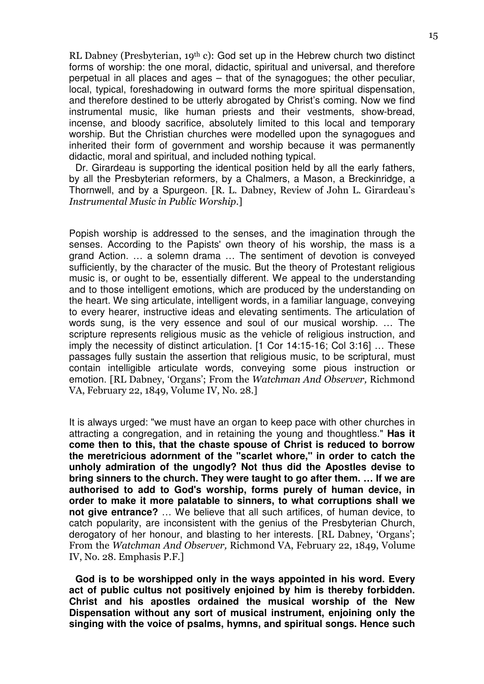RL Dabney (Presbyterian,  $19<sup>th</sup>$  c): God set up in the Hebrew church two distinct forms of worship: the one moral, didactic, spiritual and universal, and therefore perpetual in all places and ages – that of the synagogues; the other peculiar, local, typical, foreshadowing in outward forms the more spiritual dispensation, and therefore destined to be utterly abrogated by Christ's coming. Now we find instrumental music, like human priests and their vestments, show-bread, incense, and bloody sacrifice, absolutely limited to this local and temporary worship. But the Christian churches were modelled upon the synagogues and inherited their form of government and worship because it was permanently didactic, moral and spiritual, and included nothing typical.

Dr. Girardeau is supporting the identical position held by all the early fathers, by all the Presbyterian reformers, by a Chalmers, a Mason, a Breckinridge, a Thornwell, and by a Spurgeon. [R. L. Dabney, Review of John L. Girardeau's Instrumental Music in Public Worship.]

Popish worship is addressed to the senses, and the imagination through the senses. According to the Papists' own theory of his worship, the mass is a grand Action. … a solemn drama … The sentiment of devotion is conveyed sufficiently, by the character of the music. But the theory of Protestant religious music is, or ought to be, essentially different. We appeal to the understanding and to those intelligent emotions, which are produced by the understanding on the heart. We sing articulate, intelligent words, in a familiar language, conveying to every hearer, instructive ideas and elevating sentiments. The articulation of words sung, is the very essence and soul of our musical worship. … The scripture represents religious music as the vehicle of religious instruction, and imply the necessity of distinct articulation. [1 Cor 14:15-16; Col 3:16] … These passages fully sustain the assertion that religious music, to be scriptural, must contain intelligible articulate words, conveying some pious instruction or emotion. [RL Dabney, 'Organs'; From the Watchman And Observer, Richmond VA, February 22, 1849, Volume IV, No. 28.]

It is always urged: "we must have an organ to keep pace with other churches in attracting a congregation, and in retaining the young and thoughtless." **Has it come then to this, that the chaste spouse of Christ is reduced to borrow the meretricious adornment of the "scarlet whore," in order to catch the unholy admiration of the ungodly? Not thus did the Apostles devise to bring sinners to the church. They were taught to go after them. … If we are authorised to add to God's worship, forms purely of human device, in order to make it more palatable to sinners, to what corruptions shall we not give entrance?** … We believe that all such artifices, of human device, to catch popularity, are inconsistent with the genius of the Presbyterian Church, derogatory of her honour, and blasting to her interests. [RL Dabney, 'Organs'; From the Watchman And Observer, Richmond VA, February 22, 1849, Volume IV, No. 28. Emphasis P.F.]

**God is to be worshipped only in the ways appointed in his word. Every act of public cultus not positively enjoined by him is thereby forbidden. Christ and his apostles ordained the musical worship of the New Dispensation without any sort of musical instrument, enjoining only the singing with the voice of psalms, hymns, and spiritual songs. Hence such**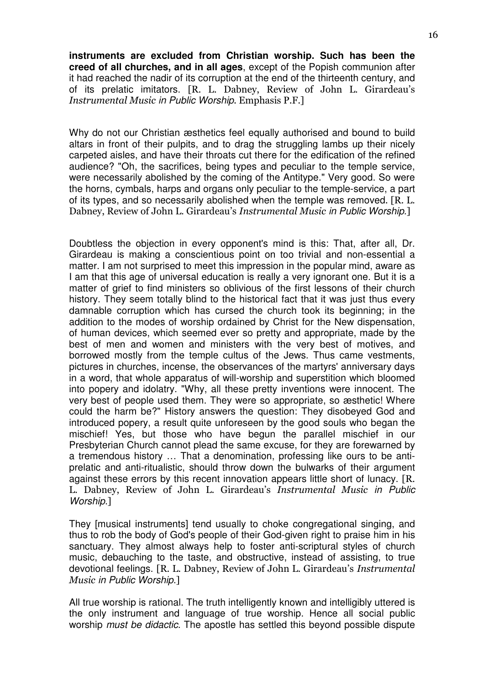**instruments are excluded from Christian worship. Such has been the creed of all churches, and in all ages**, except of the Popish communion after it had reached the nadir of its corruption at the end of the thirteenth century, and of its prelatic imitators. [R. L. Dabney, Review of John L. Girardeau's Instrumental Music in Public Worship. Emphasis P.F.]

Why do not our Christian æsthetics feel equally authorised and bound to build altars in front of their pulpits, and to drag the struggling lambs up their nicely carpeted aisles, and have their throats cut there for the edification of the refined audience? "Oh, the sacrifices, being types and peculiar to the temple service, were necessarily abolished by the coming of the Antitype." Very good. So were the horns, cymbals, harps and organs only peculiar to the temple-service, a part of its types, and so necessarily abolished when the temple was removed. [R. L. Dabney, Review of John L. Girardeau's Instrumental Music in Public Worship.]

Doubtless the objection in every opponent's mind is this: That, after all, Dr. Girardeau is making a conscientious point on too trivial and non-essential a matter. I am not surprised to meet this impression in the popular mind, aware as I am that this age of universal education is really a very ignorant one. But it is a matter of grief to find ministers so oblivious of the first lessons of their church history. They seem totally blind to the historical fact that it was just thus every damnable corruption which has cursed the church took its beginning; in the addition to the modes of worship ordained by Christ for the New dispensation, of human devices, which seemed ever so pretty and appropriate, made by the best of men and women and ministers with the very best of motives, and borrowed mostly from the temple cultus of the Jews. Thus came vestments, pictures in churches, incense, the observances of the martyrs' anniversary days in a word, that whole apparatus of will-worship and superstition which bloomed into popery and idolatry. "Why, all these pretty inventions were innocent. The very best of people used them. They were so appropriate, so æsthetic! Where could the harm be?" History answers the question: They disobeyed God and introduced popery, a result quite unforeseen by the good souls who began the mischief! Yes, but those who have begun the parallel mischief in our Presbyterian Church cannot plead the same excuse, for they are forewarned by a tremendous history … That a denomination, professing like ours to be antiprelatic and anti-ritualistic, should throw down the bulwarks of their argument against these errors by this recent innovation appears little short of lunacy. [R. L. Dabney, Review of John L. Girardeau's Instrumental Music in Public Worship.]

They [musical instruments] tend usually to choke congregational singing, and thus to rob the body of God's people of their God-given right to praise him in his sanctuary. They almost always help to foster anti-scriptural styles of church music, debauching to the taste, and obstructive, instead of assisting, to true devotional feelings. [R. L. Dabney, Review of John L. Girardeau's Instrumental Music in Public Worship.]

All true worship is rational. The truth intelligently known and intelligibly uttered is the only instrument and language of true worship. Hence all social public worship must be didactic. The apostle has settled this beyond possible dispute